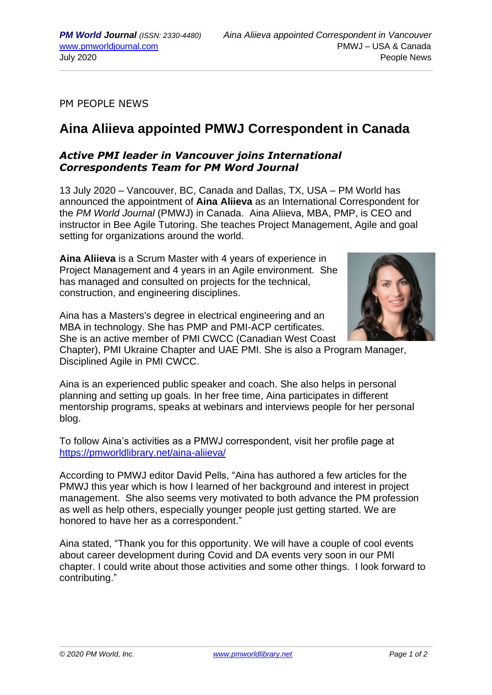PM PEOPLE NEWS

## **Aina Aliieva appointed PMWJ Correspondent in Canada**

## *Active PMI leader in Vancouver joins International Correspondents Team for PM Word Journal*

13 July 2020 – Vancouver, BC, Canada and Dallas, TX, USA – PM World has announced the appointment of **Aina Aliieva** as an International Correspondent for the *PM World Journal* (PMWJ) in Canada. Aina Aliieva, MBA, PMP, is CEO and instructor in Bee Agile Tutoring. She teaches Project Management, Agile and goal setting for organizations around the world.

**Aina Aliieva** is a Scrum Master with 4 years of experience in Project Management and 4 years in an Agile environment. She has managed and consulted on projects for the technical, construction, and engineering disciplines.



Aina has a Masters's degree in electrical engineering and an MBA in technology. She has PMP and PMI-ACP certificates. She is an active member of PMI CWCC (Canadian West Coast

Chapter), PMI Ukraine Chapter and UAE PMI. She is also a Program Manager, Disciplined Agile in PMI CWCC.

Aina is an experienced public speaker and coach. She also helps in personal planning and setting up goals. In her free time, Aina participates in different mentorship programs, speaks at webinars and interviews people for her personal blog.

To follow Aina's activities as a PMWJ correspondent, visit her profile page at <https://pmworldlibrary.net/aina-aliieva/>

According to PMWJ editor David Pells, "Aina has authored a few articles for the PMWJ this year which is how I learned of her background and interest in project management. She also seems very motivated to both advance the PM profession as well as help others, especially younger people just getting started. We are honored to have her as a correspondent."

Aina stated, "Thank you for this opportunity. We will have a couple of cool events about career development during Covid and DA events very soon in our PMI chapter. I could write about those activities and some other things. I look forward to contributing."